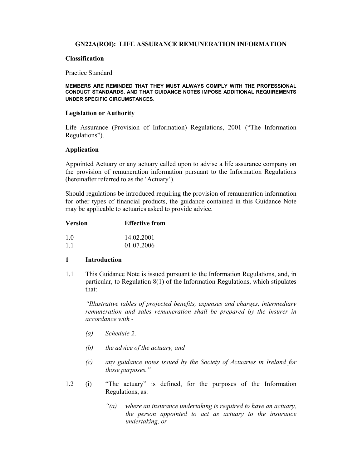# **GN22A(ROI): LIFE ASSURANCE REMUNERATION INFORMATION**

### **Classification**

#### Practice Standard

#### **MEMBERS ARE REMINDED THAT THEY MUST ALWAYS COMPLY WITH THE PROFESSIONAL CONDUCT STANDARDS, AND THAT GUIDANCE NOTES IMPOSE ADDITIONAL REQUIREMENTS UNDER SPECIFIC CIRCUMSTANCES**.

#### **Legislation or Authority**

Life Assurance (Provision of Information) Regulations, 2001 ("The Information Regulations").

### **Application**

Appointed Actuary or any actuary called upon to advise a life assurance company on the provision of remuneration information pursuant to the Information Regulations (hereinafter referred to as the 'Actuary').

Should regulations be introduced requiring the provision of remuneration information for other types of financial products, the guidance contained in this Guidance Note may be applicable to actuaries asked to provide advice.

| <b>Version</b> | <b>Effective from</b> |
|----------------|-----------------------|
| 10             | 14 02 2001            |
| 11             | 01.07.2006            |

### **1 Introduction**

1.1 This Guidance Note is issued pursuant to the Information Regulations, and, in particular, to Regulation 8(1) of the Information Regulations, which stipulates that:

 *"Illustrative tables of projected benefits, expenses and charges, intermediary remuneration and sales remuneration shall be prepared by the insurer in accordance with -* 

- *(a) Schedule 2,*
- *(b) the advice of the actuary, and*
- *(c) any guidance notes issued by the Society of Actuaries in Ireland for those purposes."*
- 1.2 (i) "The actuary" is defined, for the purposes of the Information Regulations, as:
	- *"(a) where an insurance undertaking is required to have an actuary, the person appointed to act as actuary to the insurance undertaking, or*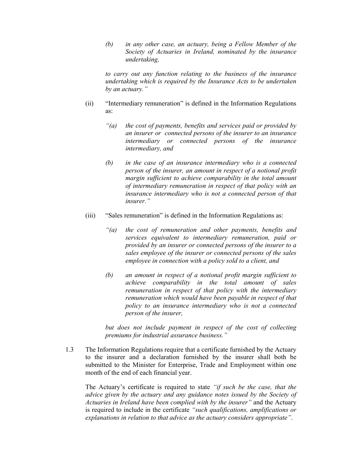*(b) in any other case, an actuary, being a Fellow Member of the Society of Actuaries in Ireland, nominated by the insurance undertaking,* 

 *to carry out any function relating to the business of the insurance undertaking which is required by the Insurance Acts to be undertaken by an actuary."* 

- (ii) "Intermediary remuneration" is defined in the Information Regulations as:
	- *"(a) the cost of payments, benefits and services paid or provided by an insurer or connected persons of the insurer to an insurance intermediary or connected persons of the insurance intermediary, and*
	- *(b) in the case of an insurance intermediary who is a connected person of the insurer, an amount in respect of a notional profit margin sufficient to achieve comparability in the total amount of intermediary remuneration in respect of that policy with an insurance intermediary who is not a connected person of that insurer."*
- (iii) "Sales remuneration" is defined in the Information Regulations as:
	- *"(a) the cost of remuneration and other payments, benefits and services equivalent to intermediary remuneration, paid or provided by an insurer or connected persons of the insurer to a sales employee of the insurer or connected persons of the sales employee in connection with a policy sold to a client, and*
	- *(b) an amount in respect of a notional profit margin sufficient to achieve comparability in the total amount of sales remuneration in respect of that policy with the intermediary remuneration which would have been payable in respect of that policy to an insurance intermediary who is not a connected person of the insurer,*

 *but does not include payment in respect of the cost of collecting premiums for industrial assurance business."* 

1.3 The Information Regulations require that a certificate furnished by the Actuary to the insurer and a declaration furnished by the insurer shall both be submitted to the Minister for Enterprise, Trade and Employment within one month of the end of each financial year.

 The Actuary's certificate is required to state *"if such be the case, that the advice given by the actuary and any guidance notes issued by the Society of Actuaries in Ireland have been complied with by the insurer"* and the Actuary is required to include in the certificate *"such qualifications, amplifications or explanations in relation to that advice as the actuary considers appropriate"*.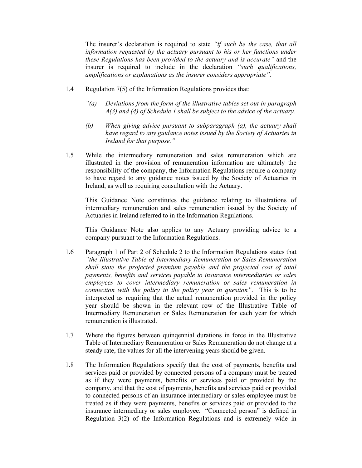The insurer's declaration is required to state *"if such be the case, that all information requested by the actuary pursuant to his or her functions under these Regulations has been provided to the actuary and is accurate"* and the insurer is required to include in the declaration *"such qualifications, amplifications or explanations as the insurer considers appropriate"*.

- 1.4 Regulation 7(5) of the Information Regulations provides that:
	- *"(a) Deviations from the form of the illustrative tables set out in paragraph A(3) and (4) of Schedule 1 shall be subject to the advice of the actuary.*
	- *(b) When giving advice pursuant to subparagraph (a), the actuary shall have regard to any guidance notes issued by the Society of Actuaries in Ireland for that purpose."*
- 1.5 While the intermediary remuneration and sales remuneration which are illustrated in the provision of remuneration information are ultimately the responsibility of the company, the Information Regulations require a company to have regard to any guidance notes issued by the Society of Actuaries in Ireland, as well as requiring consultation with the Actuary.

 This Guidance Note constitutes the guidance relating to illustrations of intermediary remuneration and sales remuneration issued by the Society of Actuaries in Ireland referred to in the Information Regulations.

 This Guidance Note also applies to any Actuary providing advice to a company pursuant to the Information Regulations.

- 1.6 Paragraph 1 of Part 2 of Schedule 2 to the Information Regulations states that *"the Illustrative Table of Intermediary Remuneration or Sales Remuneration shall state the projected premium payable and the projected cost of total payments, benefits and services payable to insurance intermediaries or sales employees to cover intermediary remuneration or sales remuneration in connection with the policy in the policy year in question"*. This is to be interpreted as requiring that the actual remuneration provided in the policy year should be shown in the relevant row of the Illustrative Table of Intermediary Remuneration or Sales Remuneration for each year for which remuneration is illustrated.
- 1.7 Where the figures between quinqennial durations in force in the Illustrative Table of Intermediary Remuneration or Sales Remuneration do not change at a steady rate, the values for all the intervening years should be given.
- 1.8 The Information Regulations specify that the cost of payments, benefits and services paid or provided by connected persons of a company must be treated as if they were payments, benefits or services paid or provided by the company, and that the cost of payments, benefits and services paid or provided to connected persons of an insurance intermediary or sales employee must be treated as if they were payments, benefits or services paid or provided to the insurance intermediary or sales employee. "Connected person" is defined in Regulation 3(2) of the Information Regulations and is extremely wide in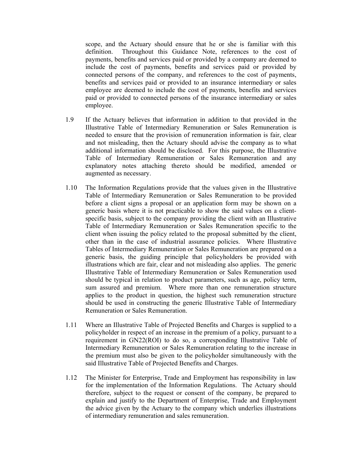scope, and the Actuary should ensure that he or she is familiar with this definition. Throughout this Guidance Note, references to the cost of payments, benefits and services paid or provided by a company are deemed to include the cost of payments, benefits and services paid or provided by connected persons of the company, and references to the cost of payments, benefits and services paid or provided to an insurance intermediary or sales employee are deemed to include the cost of payments, benefits and services paid or provided to connected persons of the insurance intermediary or sales employee.

- 1.9 If the Actuary believes that information in addition to that provided in the Illustrative Table of Intermediary Remuneration or Sales Remuneration is needed to ensure that the provision of remuneration information is fair, clear and not misleading, then the Actuary should advise the company as to what additional information should be disclosed. For this purpose, the Illustrative Table of Intermediary Remuneration or Sales Remuneration and any explanatory notes attaching thereto should be modified, amended or augmented as necessary.
- 1.10 The Information Regulations provide that the values given in the Illustrative Table of Intermediary Remuneration or Sales Remuneration to be provided before a client signs a proposal or an application form may be shown on a generic basis where it is not practicable to show the said values on a clientspecific basis, subject to the company providing the client with an Illustrative Table of Intermediary Remuneration or Sales Remuneration specific to the client when issuing the policy related to the proposal submitted by the client, other than in the case of industrial assurance policies. Where Illustrative Tables of Intermediary Remuneration or Sales Remuneration are prepared on a generic basis, the guiding principle that policyholders be provided with illustrations which are fair, clear and not misleading also applies. The generic Illustrative Table of Intermediary Remuneration or Sales Remuneration used should be typical in relation to product parameters, such as age, policy term, sum assured and premium. Where more than one remuneration structure applies to the product in question, the highest such remuneration structure should be used in constructing the generic Illustrative Table of Intermediary Remuneration or Sales Remuneration.
- 1.11 Where an Illustrative Table of Projected Benefits and Charges is supplied to a policyholder in respect of an increase in the premium of a policy, pursuant to a requirement in GN22(ROI) to do so, a corresponding Illustrative Table of Intermediary Remuneration or Sales Remuneration relating to the increase in the premium must also be given to the policyholder simultaneously with the said Illustrative Table of Projected Benefits and Charges.
- 1.12 The Minister for Enterprise, Trade and Employment has responsibility in law for the implementation of the Information Regulations. The Actuary should therefore, subject to the request or consent of the company, be prepared to explain and justify to the Department of Enterprise, Trade and Employment the advice given by the Actuary to the company which underlies illustrations of intermediary remuneration and sales remuneration.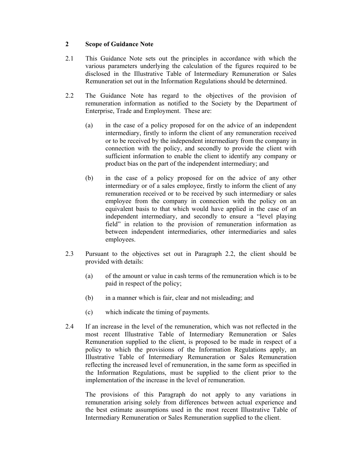# **2 Scope of Guidance Note**

- 2.1 This Guidance Note sets out the principles in accordance with which the various parameters underlying the calculation of the figures required to be disclosed in the Illustrative Table of Intermediary Remuneration or Sales Remuneration set out in the Information Regulations should be determined.
- 2.2 The Guidance Note has regard to the objectives of the provision of remuneration information as notified to the Society by the Department of Enterprise, Trade and Employment. These are:
	- (a) in the case of a policy proposed for on the advice of an independent intermediary, firstly to inform the client of any remuneration received or to be received by the independent intermediary from the company in connection with the policy, and secondly to provide the client with sufficient information to enable the client to identify any company or product bias on the part of the independent intermediary; and
	- (b) in the case of a policy proposed for on the advice of any other intermediary or of a sales employee, firstly to inform the client of any remuneration received or to be received by such intermediary or sales employee from the company in connection with the policy on an equivalent basis to that which would have applied in the case of an independent intermediary, and secondly to ensure a "level playing field" in relation to the provision of remuneration information as between independent intermediaries, other intermediaries and sales employees.
- 2.3 Pursuant to the objectives set out in Paragraph 2.2, the client should be provided with details:
	- (a) of the amount or value in cash terms of the remuneration which is to be paid in respect of the policy;
	- (b) in a manner which is fair, clear and not misleading; and
	- (c) which indicate the timing of payments.
- 2.4 If an increase in the level of the remuneration, which was not reflected in the most recent Illustrative Table of Intermediary Remuneration or Sales Remuneration supplied to the client, is proposed to be made in respect of a policy to which the provisions of the Information Regulations apply, an Illustrative Table of Intermediary Remuneration or Sales Remuneration reflecting the increased level of remuneration, in the same form as specified in the Information Regulations, must be supplied to the client prior to the implementation of the increase in the level of remuneration.

 The provisions of this Paragraph do not apply to any variations in remuneration arising solely from differences between actual experience and the best estimate assumptions used in the most recent Illustrative Table of Intermediary Remuneration or Sales Remuneration supplied to the client.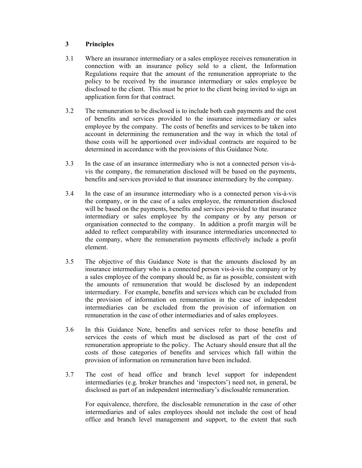# **3 Principles**

- 3.1 Where an insurance intermediary or a sales employee receives remuneration in connection with an insurance policy sold to a client, the Information Regulations require that the amount of the remuneration appropriate to the policy to be received by the insurance intermediary or sales employee be disclosed to the client. This must be prior to the client being invited to sign an application form for that contract.
- 3.2 The remuneration to be disclosed is to include both cash payments and the cost of benefits and services provided to the insurance intermediary or sales employee by the company. The costs of benefits and services to be taken into account in determining the remuneration and the way in which the total of those costs will be apportioned over individual contracts are required to be determined in accordance with the provisions of this Guidance Note.
- 3.3 In the case of an insurance intermediary who is not a connected person vis-àvis the company, the remuneration disclosed will be based on the payments, benefits and services provided to that insurance intermediary by the company.
- 3.4 In the case of an insurance intermediary who is a connected person vis-à-vis the company, or in the case of a sales employee, the remuneration disclosed will be based on the payments, benefits and services provided to that insurance intermediary or sales employee by the company or by any person or organisation connected to the company. In addition a profit margin will be added to reflect comparability with insurance intermediaries unconnected to the company, where the remuneration payments effectively include a profit element.
- 3.5 The objective of this Guidance Note is that the amounts disclosed by an insurance intermediary who is a connected person vis-à-vis the company or by a sales employee of the company should be, as far as possible, consistent with the amounts of remuneration that would be disclosed by an independent intermediary. For example, benefits and services which can be excluded from the provision of information on remuneration in the case of independent intermediaries can be excluded from the provision of information on remuneration in the case of other intermediaries and of sales employees.
- 3.6 In this Guidance Note, benefits and services refer to those benefits and services the costs of which must be disclosed as part of the cost of remuneration appropriate to the policy. The Actuary should ensure that all the costs of those categories of benefits and services which fall within the provision of information on remuneration have been included.
- 3.7 The cost of head office and branch level support for independent intermediaries (e.g. broker branches and 'inspectors') need not, in general, be disclosed as part of an independent intermediary's disclosable remuneration.

 For equivalence, therefore, the disclosable remuneration in the case of other intermediaries and of sales employees should not include the cost of head office and branch level management and support, to the extent that such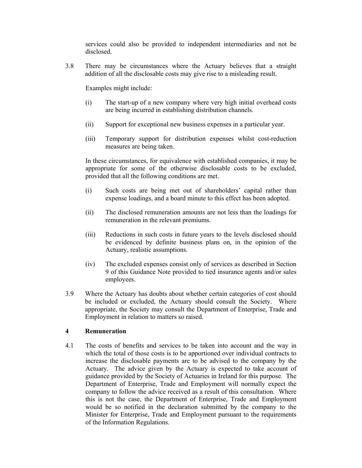services could also be provided to independent intermediaries and not be disclosed.

3.8 There may be circumstances where the Actuary believes that a straight addition of all the disclosable costs may give rise to a misleading result.

Examples might include:

- (i) The start-up of a new company where very high initial overhead costs are being incurred in establishing distribution channels.
- (ii) Support for exceptional new business expenses in a particular year.
- (iii) Temporary support for distribution expenses whilst cost-reduction measures are being taken.

 In these circumstances, for equivalence with established companies, it may be appropriate for some of the otherwise disclosable costs to be excluded, provided that all the following conditions are met.

- (i) Such costs are being met out of shareholders' capital rather than expense loadings, and a board minute to this effect has been adopted.
- (ii) The disclosed remuneration amounts are not less than the loadings for remuneration in the relevant premiums.
- (iii) Reductions in such costs in future years to the levels disclosed should be evidenced by definite business plans on, in the opinion of the Actuary, realistic assumptions.
- (iv) The excluded expenses consist only of services as described in Section 9 of this Guidance Note provided to tied insurance agents and/or sales employees.
- 3.9 Where the Actuary has doubts about whether certain categories of cost should be included or excluded, the Actuary should consult the Society. Where appropriate, the Society may consult the Department of Enterprise, Trade and Employment in relation to matters so raised.

### **4 Remuneration**

4.1 The costs of benefits and services to be taken into account and the way in which the total of those costs is to be apportioned over individual contracts to increase the disclosable payments are to be advised to the company by the Actuary. The advice given by the Actuary is expected to take account of guidance provided by the Society of Actuaries in Ireland for this purpose. The Department of Enterprise, Trade and Employment will normally expect the company to follow the advice received as a result of this consultation. Where this is not the case, the Department of Enterprise, Trade and Employment would be so notified in the declaration submitted by the company to the Minister for Enterprise, Trade and Employment pursuant to the requirements of the Information Regulations.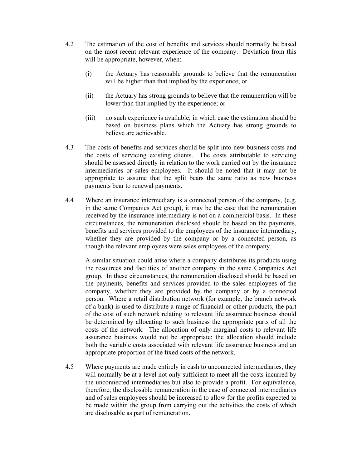- 4.2 The estimation of the cost of benefits and services should normally be based on the most recent relevant experience of the company. Deviation from this will be appropriate, however, when:
	- (i) the Actuary has reasonable grounds to believe that the remuneration will be higher than that implied by the experience; or
	- (ii) the Actuary has strong grounds to believe that the remuneration will be lower than that implied by the experience; or
	- (iii) no such experience is available, in which case the estimation should be based on business plans which the Actuary has strong grounds to believe are achievable.
- 4.3 The costs of benefits and services should be split into new business costs and the costs of servicing existing clients. The costs attributable to servicing should be assessed directly in relation to the work carried out by the insurance intermediaries or sales employees. It should be noted that it may not be appropriate to assume that the split bears the same ratio as new business payments bear to renewal payments.
- 4.4 Where an insurance intermediary is a connected person of the company, (e.g. in the same Companies Act group), it may be the case that the remuneration received by the insurance intermediary is not on a commercial basis. In these circumstances, the remuneration disclosed should be based on the payments, benefits and services provided to the employees of the insurance intermediary, whether they are provided by the company or by a connected person, as though the relevant employees were sales employees of the company.

 A similar situation could arise where a company distributes its products using the resources and facilities of another company in the same Companies Act group. In these circumstances, the remuneration disclosed should be based on the payments, benefits and services provided to the sales employees of the company, whether they are provided by the company or by a connected person. Where a retail distribution network (for example, the branch network of a bank) is used to distribute a range of financial or other products, the part of the cost of such network relating to relevant life assurance business should be determined by allocating to such business the appropriate parts of all the costs of the network. The allocation of only marginal costs to relevant life assurance business would not be appropriate; the allocation should include both the variable costs associated with relevant life assurance business and an appropriate proportion of the fixed costs of the network.

4.5 Where payments are made entirely in cash to unconnected intermediaries, they will normally be at a level not only sufficient to meet all the costs incurred by the unconnected intermediaries but also to provide a profit. For equivalence, therefore, the disclosable remuneration in the case of connected intermediaries and of sales employees should be increased to allow for the profits expected to be made within the group from carrying out the activities the costs of which are disclosable as part of remuneration.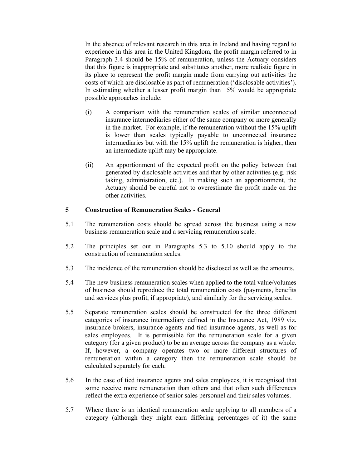In the absence of relevant research in this area in Ireland and having regard to experience in this area in the United Kingdom, the profit margin referred to in Paragraph 3.4 should be 15% of remuneration, unless the Actuary considers that this figure is inappropriate and substitutes another, more realistic figure in its place to represent the profit margin made from carrying out activities the costs of which are disclosable as part of remuneration ('disclosable activities'). In estimating whether a lesser profit margin than 15% would be appropriate possible approaches include:

- (i) A comparison with the remuneration scales of similar unconnected insurance intermediaries either of the same company or more generally in the market. For example, if the remuneration without the 15% uplift is lower than scales typically payable to unconnected insurance intermediaries but with the 15% uplift the remuneration is higher, then an intermediate uplift may be appropriate.
- (ii) An apportionment of the expected profit on the policy between that generated by disclosable activities and that by other activities (e.g. risk taking, administration, etc.). In making such an apportionment, the Actuary should be careful not to overestimate the profit made on the other activities.

# **5 Construction of Remuneration Scales - General**

- 5.1 The remuneration costs should be spread across the business using a new business remuneration scale and a servicing remuneration scale.
- 5.2 The principles set out in Paragraphs 5.3 to 5.10 should apply to the construction of remuneration scales.
- 5.3 The incidence of the remuneration should be disclosed as well as the amounts.
- 5.4 The new business remuneration scales when applied to the total value/volumes of business should reproduce the total remuneration costs (payments, benefits and services plus profit, if appropriate), and similarly for the servicing scales.
- 5.5 Separate remuneration scales should be constructed for the three different categories of insurance intermediary defined in the Insurance Act, 1989 viz. insurance brokers, insurance agents and tied insurance agents, as well as for sales employees. It is permissible for the remuneration scale for a given category (for a given product) to be an average across the company as a whole. If, however, a company operates two or more different structures of remuneration within a category then the remuneration scale should be calculated separately for each.
- 5.6 In the case of tied insurance agents and sales employees, it is recognised that some receive more remuneration than others and that often such differences reflect the extra experience of senior sales personnel and their sales volumes.
- 5.7 Where there is an identical remuneration scale applying to all members of a category (although they might earn differing percentages of it) the same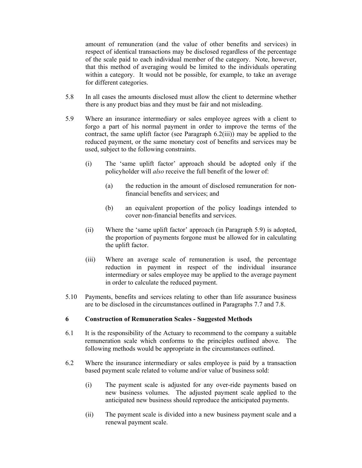amount of remuneration (and the value of other benefits and services) in respect of identical transactions may be disclosed regardless of the percentage of the scale paid to each individual member of the category. Note, however, that this method of averaging would be limited to the individuals operating within a category. It would not be possible, for example, to take an average for different categories.

- 5.8 In all cases the amounts disclosed must allow the client to determine whether there is any product bias and they must be fair and not misleading.
- 5.9 Where an insurance intermediary or sales employee agrees with a client to forgo a part of his normal payment in order to improve the terms of the contract, the same uplift factor (see Paragraph 6.2(iii)) may be applied to the reduced payment, or the same monetary cost of benefits and services may be used, subject to the following constraints.
	- (i) The 'same uplift factor' approach should be adopted only if the policyholder will *also* receive the full benefit of the lower of:
		- (a) the reduction in the amount of disclosed remuneration for nonfinancial benefits and services; and
		- (b) an equivalent proportion of the policy loadings intended to cover non-financial benefits and services.
	- (ii) Where the 'same uplift factor' approach (in Paragraph 5.9) is adopted, the proportion of payments forgone must be allowed for in calculating the uplift factor.
	- (iii) Where an average scale of remuneration is used, the percentage reduction in payment in respect of the individual insurance intermediary or sales employee may be applied to the average payment in order to calculate the reduced payment.
- 5.10 Payments, benefits and services relating to other than life assurance business are to be disclosed in the circumstances outlined in Paragraphs 7.7 and 7.8.

### **6 Construction of Remuneration Scales - Suggested Methods**

- 6.1 It is the responsibility of the Actuary to recommend to the company a suitable remuneration scale which conforms to the principles outlined above. The following methods would be appropriate in the circumstances outlined.
- 6.2 Where the insurance intermediary or sales employee is paid by a transaction based payment scale related to volume and/or value of business sold:
	- (i) The payment scale is adjusted for any over-ride payments based on new business volumes. The adjusted payment scale applied to the anticipated new business should reproduce the anticipated payments.
	- (ii) The payment scale is divided into a new business payment scale and a renewal payment scale.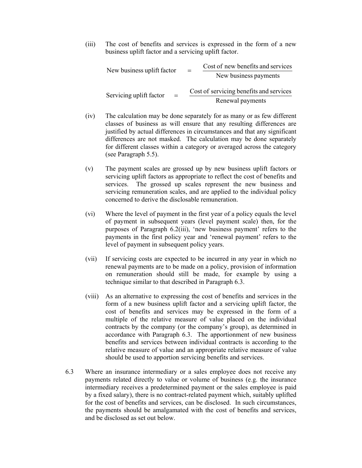(iii) The cost of benefits and services is expressed in the form of a new business uplift factor and a servicing uplift factor.

| New business uplift factor | Cost of new benefits and services<br>$=$<br>New business payments |
|----------------------------|-------------------------------------------------------------------|
| Servicing uplift factor    | Cost of servicing benefits and services                           |
| $=$                        | Renewal payments                                                  |

- (iv) The calculation may be done separately for as many or as few different classes of business as will ensure that any resulting differences are justified by actual differences in circumstances and that any significant differences are not masked. The calculation may be done separately for different classes within a category or averaged across the category (see Paragraph 5.5).
- (v) The payment scales are grossed up by new business uplift factors or servicing uplift factors as appropriate to reflect the cost of benefits and services. The grossed up scales represent the new business and servicing remuneration scales, and are applied to the individual policy concerned to derive the disclosable remuneration.
- (vi) Where the level of payment in the first year of a policy equals the level of payment in subsequent years (level payment scale) then, for the purposes of Paragraph 6.2(iii), 'new business payment' refers to the payments in the first policy year and 'renewal payment' refers to the level of payment in subsequent policy years.
- (vii) If servicing costs are expected to be incurred in any year in which no renewal payments are to be made on a policy, provision of information on remuneration should still be made, for example by using a technique similar to that described in Paragraph 6.3.
- (viii) As an alternative to expressing the cost of benefits and services in the form of a new business uplift factor and a servicing uplift factor, the cost of benefits and services may be expressed in the form of a multiple of the relative measure of value placed on the individual contracts by the company (or the company's group), as determined in accordance with Paragraph 6.3. The apportionment of new business benefits and services between individual contracts is according to the relative measure of value and an appropriate relative measure of value should be used to apportion servicing benefits and services.
- 6.3 Where an insurance intermediary or a sales employee does not receive any payments related directly to value or volume of business (e.g. the insurance intermediary receives a predetermined payment or the sales employee is paid by a fixed salary), there is no contract-related payment which, suitably uplifted for the cost of benefits and services, can be disclosed. In such circumstances, the payments should be amalgamated with the cost of benefits and services, and be disclosed as set out below.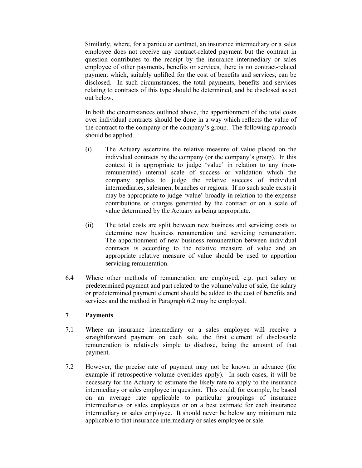Similarly, where, for a particular contract, an insurance intermediary or a sales employee does not receive any contract-related payment but the contract in question contributes to the receipt by the insurance intermediary or sales employee of other payments, benefits or services, there is no contract-related payment which, suitably uplifted for the cost of benefits and services, can be disclosed. In such circumstances, the total payments, benefits and services relating to contracts of this type should be determined, and be disclosed as set out below.

 In both the circumstances outlined above, the apportionment of the total costs over individual contracts should be done in a way which reflects the value of the contract to the company or the company's group. The following approach should be applied.

- (i) The Actuary ascertains the relative measure of value placed on the individual contracts by the company (or the company's group). In this context it is appropriate to judge 'value' in relation to any (nonremunerated) internal scale of success or validation which the company applies to judge the relative success of individual intermediaries, salesmen, branches or regions. If no such scale exists it may be appropriate to judge 'value' broadly in relation to the expense contributions or charges generated by the contract or on a scale of value determined by the Actuary as being appropriate.
- (ii) The total costs are split between new business and servicing costs to determine new business remuneration and servicing remuneration. The apportionment of new business remuneration between individual contracts is according to the relative measure of value and an appropriate relative measure of value should be used to apportion servicing remuneration.
- 6.4 Where other methods of remuneration are employed, e.g. part salary or predetermined payment and part related to the volume/value of sale, the salary or predetermined payment element should be added to the cost of benefits and services and the method in Paragraph 6.2 may be employed.

### **7 Payments**

- 7.1 Where an insurance intermediary or a sales employee will receive a straightforward payment on each sale, the first element of disclosable remuneration is relatively simple to disclose, being the amount of that payment.
- 7.2 However, the precise rate of payment may not be known in advance (for example if retrospective volume overrides apply). In such cases, it will be necessary for the Actuary to estimate the likely rate to apply to the insurance intermediary or sales employee in question. This could, for example, be based on an average rate applicable to particular groupings of insurance intermediaries or sales employees or on a best estimate for each insurance intermediary or sales employee. It should never be below any minimum rate applicable to that insurance intermediary or sales employee or sale.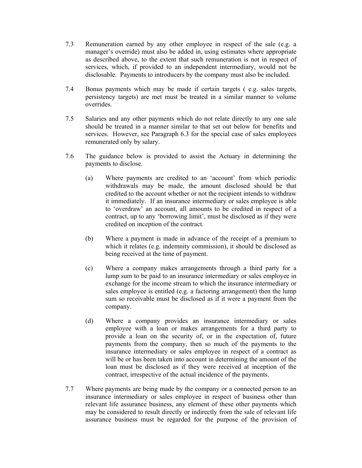- 7.3 Remuneration earned by any other employee in respect of the sale (e.g. a manager's override) must also be added in, using estimates where appropriate as described above, to the extent that such remuneration is not in respect of services, which, if provided to an independent intermediary, would not be disclosable. Payments to introducers by the company must also be included.
- 7.4 Bonus payments which may be made if certain targets ( e.g. sales targets, persistency targets) are met must be treated in a similar manner to volume overrides.
- 7.5 Salaries and any other payments which do not relate directly to any one sale should be treated in a manner similar to that set out below for benefits and services. However, see Paragraph 6.3 for the special case of sales employees remunerated only by salary.
- 7.6 The guidance below is provided to assist the Actuary in determining the payments to disclose.
	- (a) Where payments are credited to an 'account' from which periodic withdrawals may be made, the amount disclosed should be that credited to the account whether or not the recipient intends to withdraw it immediately. If an insurance intermediary or sales employee is able to 'overdraw' an account, all amounts to be credited in respect of a contract, up to any 'borrowing limit', must be disclosed as if they were credited on inception of the contract.
	- (b) Where a payment is made in advance of the receipt of a premium to which it relates (e.g. indemnity commission), it should be disclosed as being received at the time of payment.
	- (c) Where a company makes arrangements through a third party for a lump sum to be paid to an insurance intermediary or sales employee in exchange for the income stream to which the insurance intermediary or sales employee is entitled (e.g. a factoring arrangement) then the lump sum so receivable must be disclosed as if it were a payment from the company.
	- (d) Where a company provides an insurance intermediary or sales employee with a loan or makes arrangements for a third party to provide a loan on the security of, or in the expectation of, future payments from the company, then so much of the payments to the insurance intermediary or sales employee in respect of a contract as will be or has been taken into account in determining the amount of the loan must be disclosed as if they were received at inception of the contract, irrespective of the actual incidence of the payments.
- 7.7 Where payments are being made by the company or a connected person to an insurance intermediary or sales employee in respect of business other than relevant life assurance business, any element of these other payments which may be considered to result directly or indirectly from the sale of relevant life assurance business must be regarded for the purpose of the provision of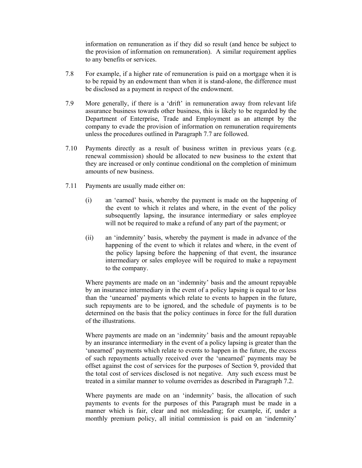information on remuneration as if they did so result (and hence be subject to the provision of information on remuneration). A similar requirement applies to any benefits or services.

- 7.8 For example, if a higher rate of remuneration is paid on a mortgage when it is to be repaid by an endowment than when it is stand-alone, the difference must be disclosed as a payment in respect of the endowment.
- 7.9 More generally, if there is a 'drift' in remuneration away from relevant life assurance business towards other business, this is likely to be regarded by the Department of Enterprise, Trade and Employment as an attempt by the company to evade the provision of information on remuneration requirements unless the procedures outlined in Paragraph 7.7 are followed.
- 7.10 Payments directly as a result of business written in previous years (e.g. renewal commission) should be allocated to new business to the extent that they are increased or only continue conditional on the completion of minimum amounts of new business.
- 7.11 Payments are usually made either on:
	- (i) an 'earned' basis, whereby the payment is made on the happening of the event to which it relates and where, in the event of the policy subsequently lapsing, the insurance intermediary or sales employee will not be required to make a refund of any part of the payment; or
	- (ii) an 'indemnity' basis, whereby the payment is made in advance of the happening of the event to which it relates and where, in the event of the policy lapsing before the happening of that event, the insurance intermediary or sales employee will be required to make a repayment to the company.

 Where payments are made on an 'indemnity' basis and the amount repayable by an insurance intermediary in the event of a policy lapsing is equal to or less than the 'unearned' payments which relate to events to happen in the future, such repayments are to be ignored, and the schedule of payments is to be determined on the basis that the policy continues in force for the full duration of the illustrations.

 Where payments are made on an 'indemnity' basis and the amount repayable by an insurance intermediary in the event of a policy lapsing is greater than the 'unearned' payments which relate to events to happen in the future, the excess of such repayments actually received over the 'unearned' payments may be offset against the cost of services for the purposes of Section 9, provided that the total cost of services disclosed is not negative. Any such excess must be treated in a similar manner to volume overrides as described in Paragraph 7.2.

 Where payments are made on an 'indemnity' basis, the allocation of such payments to events for the purposes of this Paragraph must be made in a manner which is fair, clear and not misleading; for example, if, under a monthly premium policy, all initial commission is paid on an 'indemnity'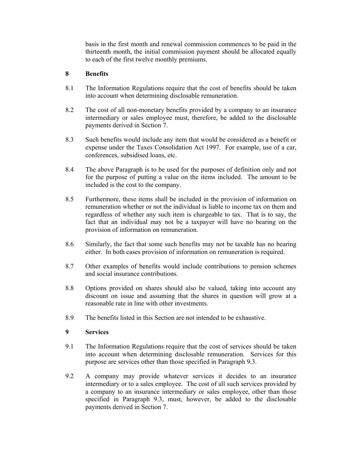basis in the first month and renewal commission commences to be paid in the thirteenth month, the initial commission payment should be allocated equally to each of the first twelve monthly premiums.

# **8 Benefits**

- 8.1 The Information Regulations require that the cost of benefits should be taken into account when determining disclosable remuneration.
- 8.2 The cost of all non-monetary benefits provided by a company to an insurance intermediary or sales employee must, therefore, be added to the disclosable payments derived in Section 7.
- 8.3 Such benefits would include any item that would be considered as a benefit or expense under the Taxes Consolidation Act 1997. For example, use of a car, conferences, subsidised loans, etc.
- 8.4 The above Paragraph is to be used for the purposes of definition only and not for the purpose of putting a value on the items included. The amount to be included is the cost to the company.
- 8.5 Furthermore, these items shall be included in the provision of information on remuneration whether or not the individual is liable to income tax on them and regardless of whether any such item is chargeable to tax. That is to say, the fact that an individual may not be a taxpayer will have no bearing on the provision of information on remuneration.
- 8.6 Similarly, the fact that some such benefits may not be taxable has no bearing either. In both cases provision of information on remuneration is required.
- 8.7 Other examples of benefits would include contributions to pension schemes and social insurance contributions.
- 8.8 Options provided on shares should also be valued, taking into account any discount on issue and assuming that the shares in question will grow at a reasonable rate in line with other investments.
- 8.9 The benefits listed in this Section are not intended to be exhaustive.

# **9 Services**

- 9.1 The Information Regulations require that the cost of services should be taken into account when determining disclosable remuneration. Services for this purpose are services other than those specified in Paragraph 9.3.
- 9.2 A company may provide whatever services it decides to an insurance intermediary or to a sales employee. The cost of all such services provided by a company to an insurance intermediary or sales employee, other than those specified in Paragraph 9.3, must, however, be added to the disclosable payments derived in Section 7.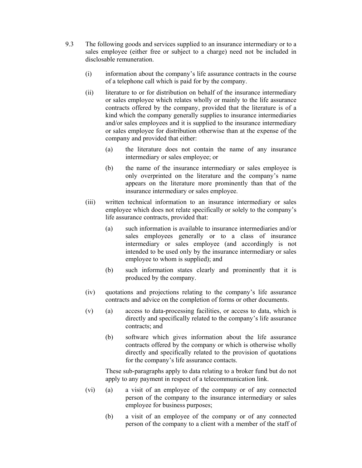- 9.3 The following goods and services supplied to an insurance intermediary or to a sales employee (either free or subject to a charge) need not be included in disclosable remuneration.
	- (i) information about the company's life assurance contracts in the course of a telephone call which is paid for by the company.
	- (ii) literature to or for distribution on behalf of the insurance intermediary or sales employee which relates wholly or mainly to the life assurance contracts offered by the company, provided that the literature is of a kind which the company generally supplies to insurance intermediaries and/or sales employees and it is supplied to the insurance intermediary or sales employee for distribution otherwise than at the expense of the company and provided that either:
		- (a) the literature does not contain the name of any insurance intermediary or sales employee; or
		- (b) the name of the insurance intermediary or sales employee is only overprinted on the literature and the company's name appears on the literature more prominently than that of the insurance intermediary or sales employee.
	- (iii) written technical information to an insurance intermediary or sales employee which does not relate specifically or solely to the company's life assurance contracts, provided that:
		- (a) such information is available to insurance intermediaries and/or sales employees generally or to a class of insurance intermediary or sales employee (and accordingly is not intended to be used only by the insurance intermediary or sales employee to whom is supplied); and
		- (b) such information states clearly and prominently that it is produced by the company.
	- (iv) quotations and projections relating to the company's life assurance contracts and advice on the completion of forms or other documents.
	- (v) (a) access to data-processing facilities, or access to data, which is directly and specifically related to the company's life assurance contracts; and
		- (b) software which gives information about the life assurance contracts offered by the company or which is otherwise wholly directly and specifically related to the provision of quotations for the company's life assurance contacts.

 These sub-paragraphs apply to data relating to a broker fund but do not apply to any payment in respect of a telecommunication link.

- (vi) (a) a visit of an employee of the company or of any connected person of the company to the insurance intermediary or sales employee for business purposes;
	- (b) a visit of an employee of the company or of any connected person of the company to a client with a member of the staff of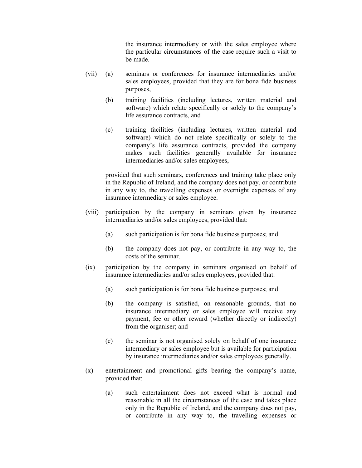the insurance intermediary or with the sales employee where the particular circumstances of the case require such a visit to be made.

- (vii) (a) seminars or conferences for insurance intermediaries and/or sales employees, provided that they are for bona fide business purposes,
	- (b) training facilities (including lectures, written material and software) which relate specifically or solely to the company's life assurance contracts, and
	- (c) training facilities (including lectures, written material and software) which do not relate specifically or solely to the company's life assurance contracts, provided the company makes such facilities generally available for insurance intermediaries and/or sales employees,

 provided that such seminars, conferences and training take place only in the Republic of Ireland, and the company does not pay, or contribute in any way to, the travelling expenses or overnight expenses of any insurance intermediary or sales employee.

- (viii) participation by the company in seminars given by insurance intermediaries and/or sales employees, provided that:
	- (a) such participation is for bona fide business purposes; and
	- (b) the company does not pay, or contribute in any way to, the costs of the seminar.
- (ix) participation by the company in seminars organised on behalf of insurance intermediaries and/or sales employees, provided that:
	- (a) such participation is for bona fide business purposes; and
	- (b) the company is satisfied, on reasonable grounds, that no insurance intermediary or sales employee will receive any payment, fee or other reward (whether directly or indirectly) from the organiser; and
	- (c) the seminar is not organised solely on behalf of one insurance intermediary or sales employee but is available for participation by insurance intermediaries and/or sales employees generally.
- (x) entertainment and promotional gifts bearing the company's name, provided that:
	- (a) such entertainment does not exceed what is normal and reasonable in all the circumstances of the case and takes place only in the Republic of Ireland, and the company does not pay, or contribute in any way to, the travelling expenses or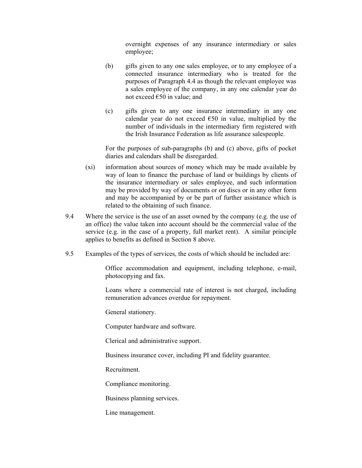overnight expenses of any insurance intermediary or sales employee;

- (b) gifts given to any one sales employee, or to any employee of a connected insurance intermediary who is treated for the purposes of Paragraph 4.4 as though the relevant employee was a sales employee of the company, in any one calendar year do not exceed  $\epsilon$ 50 in value; and
- (c) gifts given to any one insurance intermediary in any one calendar year do not exceed  $\epsilon$ 50 in value, multiplied by the number of individuals in the intermediary firm registered with the Irish Insurance Federation as life assurance salespeople.

 For the purposes of sub-paragraphs (b) and (c) above, gifts of pocket diaries and calendars shall be disregarded.

- (xi) information about sources of money which may be made available by way of loan to finance the purchase of land or buildings by clients of the insurance intermediary or sales employee, and such information may be provided by way of documents or on discs or in any other form and may be accompanied by or be part of further assistance which is related to the obtaining of such finance.
- 9.4 Where the service is the use of an asset owned by the company (e.g. the use of an office) the value taken into account should be the commercial value of the service (e.g. in the case of a property, full market rent). A similar principle applies to benefits as defined in Section 8 above.
- 9.5 Examples of the types of services, the costs of which should be included are:

Office accommodation and equipment, including telephone, e-mail, photocopying and fax.

Loans where a commercial rate of interest is not charged, including remuneration advances overdue for repayment.

General stationery.

Computer hardware and software.

Clerical and administrative support.

Business insurance cover, including PI and fidelity guarantee.

Recruitment.

Compliance monitoring.

Business planning services.

Line management.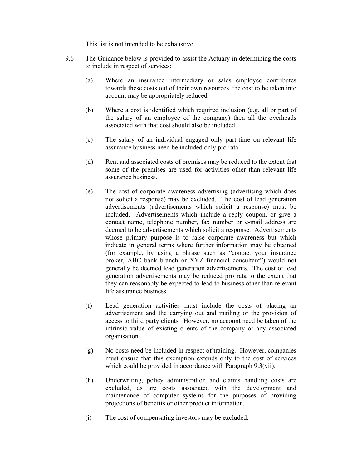This list is not intended to be exhaustive.

- 9.6 The Guidance below is provided to assist the Actuary in determining the costs to include in respect of services:
	- (a) Where an insurance intermediary or sales employee contributes towards these costs out of their own resources, the cost to be taken into account may be appropriately reduced.
	- (b) Where a cost is identified which required inclusion (e.g. all or part of the salary of an employee of the company) then all the overheads associated with that cost should also be included.
	- (c) The salary of an individual engaged only part-time on relevant life assurance business need be included only pro rata.
	- (d) Rent and associated costs of premises may be reduced to the extent that some of the premises are used for activities other than relevant life assurance business.
	- (e) The cost of corporate awareness advertising (advertising which does not solicit a response) may be excluded. The cost of lead generation advertisements (advertisements which solicit a response) must be included. Advertisements which include a reply coupon, or give a contact name, telephone number, fax number or e-mail address are deemed to be advertisements which solicit a response. Advertisements whose primary purpose is to raise corporate awareness but which indicate in general terms where further information may be obtained (for example, by using a phrase such as "contact your insurance broker, ABC bank branch or XYZ financial consultant") would not generally be deemed lead generation advertisements. The cost of lead generation advertisements may be reduced pro rata to the extent that they can reasonably be expected to lead to business other than relevant life assurance business.
	- (f) Lead generation activities must include the costs of placing an advertisement and the carrying out and mailing or the provision of access to third party clients. However, no account need be taken of the intrinsic value of existing clients of the company or any associated organisation.
	- (g) No costs need be included in respect of training. However, companies must ensure that this exemption extends only to the cost of services which could be provided in accordance with Paragraph 9.3(vii).
	- (h) Underwriting, policy administration and claims handling costs are excluded, as are costs associated with the development and maintenance of computer systems for the purposes of providing projections of benefits or other product information.
	- (i) The cost of compensating investors may be excluded.